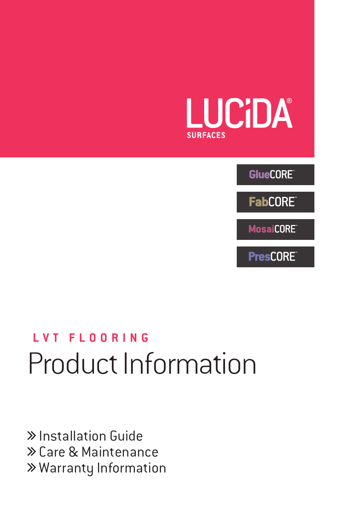

**GlueCORE** 

**FabCORE** 

**MosaiCORE** 

**PresCORE** 

# Product Information **LVT FLOORING**

 Installation Guide Care & Maintenance Warranty Information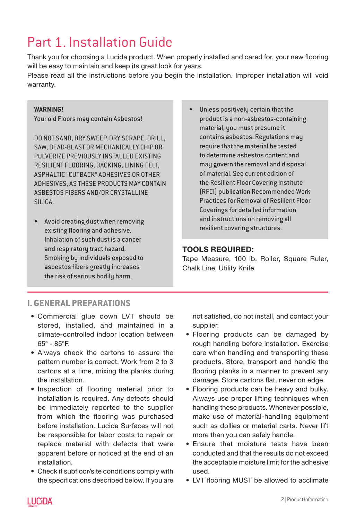# Part 1. Installation Guide

Thank you for choosing a Lucida product. When properly installed and cared for, your new flooring will be easy to maintain and keep its great look for years.

Please read all the instructions before you begin the installation. Improper installation will void warranty.

### **WARNING!**

Your old Floors may contain Asbestos!

DO NOT SAND, DRY SWEEP, DRY SCRAPE, DRILL, SAW, BEAD-BLAST OR MECHANICALLY CHIP OR PULVERIZE PREVIOUSLY INSTALLED EXISTING RESILIENT FLOORING, BACKING, LINING FELT, ASPHALTIC "CUTBACK" ADHESIVES OR OTHER ADHESIVES, AS THESE PRODUCTS MAY CONTAIN ASBESTOS FIBERS AND/OR CRYSTALLINE SILICA.

- Avoid creating dust when removing existing flooring and adhesive. Inhalation of such dust is a cancer and respiratory tract hazard. Smoking by individuals exposed to asbestos fibers greatly increases the risk of serious bodily harm.
- Unless positively certain that the product is a non-asbestos-containing material, you must presume it contains asbestos. Regulations may require that the material be tested to determine asbestos content and may govern the removal and disposal of material. See current edition of the Resilient Floor Covering Institute (RFCI) publication Recommended Work Practices for Removal of Resilient Floor Coverings for detailed information and instructions on removing all resilient covering structures.

# TOOLS REQUIRED:

Tape Measure, 100 lb. Roller, Square Ruler, Chalk Line, Utility Knife

# **I. GENERAL PREPARATIONS**

- Commercial glue down LVT should be stored, installed, and maintained in a climate-controlled indoor location between 65° - 85°F.
- Always check the cartons to assure the pattern number is correct. Work from 2 to 3 cartons at a time, mixing the planks during the installation.
- Inspection of flooring material prior to installation is required. Any defects should be immediately reported to the supplier from which the flooring was purchased before installation. Lucida Surfaces will not be responsible for labor costs to repair or replace material with defects that were apparent before or noticed at the end of an installation.
- Check if subfloor/site conditions comply with the specifications described below. If you are

not satisfied, do not install, and contact your supplier.

- Flooring products can be damaged by rough handling before installation. Exercise care when handling and transporting these products. Store, transport and handle the flooring planks in a manner to prevent any damage. Store cartons flat, never on edge.
- Flooring products can be heavy and bulky. Always use proper lifting techniques when handling these products. Whenever possible, make use of material-handling equipment such as dollies or material carts. Never lift more than you can safely handle.
- Ensure that moisture tests have been conducted and that the results do not exceed the acceptable moisture limit for the adhesive used.
- LVT flooring MUST be allowed to acclimate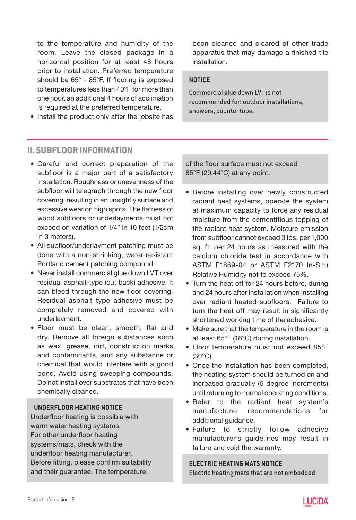to the temperature and humidity of the room. Leave the closed package in a horizontal position for at least 48 hours prior to installation. Preferred temperature should be 65° - 85°F. If flooring is exposed to temperatures less than 40°F for more than one hour, an additional 4 hours of acclimation is required at the preferred temperature.

• Install the product only after the jobsite has

been cleaned and cleared of other trade apparatus that may damage a finished tile installation.

#### **NOTICE**

Commercial glue down LVT is not recommended for: outdoor installations, showers, counter tops.

# **II. SUBFLOOR INFORMATION**

- Careful and correct preparation of the subfloor is a major part of a satisfactory installation. Roughness or unevenness of the subfloor will telegraph through the new floor covering, resulting in an unsightly surface and excessive wear on high spots. The flatness of wood subfloors or underlayments must not exceed on variation of 1/4" in 10 feet (1/2cm in 3 meters).
- All subfloor/underlayment patching must be done with a non-shrinking, water-resistant Portland cement patching compound.
- Never install commercial glue down LVT over residual asphalt-type (cut back) adhesive. It can bleed through the new floor covering. Residual asphalt type adhesive must be completely removed and covered with underlayment.
- Floor must be clean, smooth, flat and dry. Remove all foreign substances such as wax, grease, dirt, construction marks and contaminants, and any substance or chemical that would interfere with a good bond. Avoid using sweeping compounds. Do not install over substrates that have been chemically cleaned.

#### **UNDERFLOOR HEATING NOTICE**

Underfloor heating is possible with warm water heating systems. For other underfloor heating systems/mats, check with the underfloor heating manufacturer. Before fitting, please confirm suitability and their guarantee. The temperature

of the floor surface must not exceed 85°F (29.44°C) at any point.

- Before installing over newly constructed radiant heat systems, operate the system at maximum capacity to force any residual moisture from the cementitious topping of the radiant heat system. Moisture emission from subfloor cannot exceed 3 lbs. per 1,000 sq. ft. per 24 hours as measured with the calcium chloride test in accordance with ASTM F1869-04 or ASTM F2170 In-Situ Relative Humidity not to exceed 75%.
- Turn the heat off for 24 hours before, during and 24 hours after installation when installing over radiant heated subfloors. Failure to turn the heat off may result in significantly shortened working time of the adhesive.
- Make sure that the temperature in the room is at least 65°F (18°C) during installation.
- Floor temperature must not exceed 85°F (30°C).
- Once the installation has been completed, the heating system should be turned on and increased gradually (5 degree increments) until returning to normal operating conditions.
- Refer to the radiant heat system's manufacturer recommendations for additional guidance.
- Failure to strictly follow adhesive manufacturer's guidelines may result in failure and void the warranty.

#### **ELECTRIC HEATING MATS NOTICE**

Electric heating mats that are not embedded

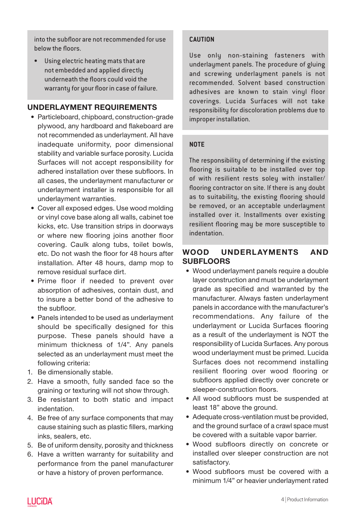into the subfloor are not recommended for use below the floors.

• Using electric heating mats that are not embedded and applied directly underneath the floors could void the warranty for your floor in case of failure.

# UNDERLAYMENT REQUIREMENTS

- Particleboard, chipboard, construction-grade plywood, any hardboard and flakeboard are not recommended as underlayment. All have inadequate uniformity, poor dimensional stability and variable surface porosity. Lucida Surfaces will not accept responsibility for adhered installation over these subfloors. In all cases, the underlayment manufacturer or underlayment installer is responsible for all underlayment warranties.
- Cover all exposed edges. Use wood molding or vinyl cove base along all walls, cabinet toe kicks, etc. Use transition strips in doorways or where new flooring joins another floor covering. Caulk along tubs, toilet bowls, etc. Do not wash the floor for 48 hours after installation. After 48 hours, damp mop to remove residual surface dirt.
- Prime floor if needed to prevent over absorption of adhesives, contain dust, and to insure a better bond of the adhesive to the subfloor.
- Panels intended to be used as underlayment should be specifically designed for this purpose. These panels should have a minimum thickness of 1/4". Any panels selected as an underlayment must meet the following criteria:
- 1. Be dimensionally stable.
- 2. Have a smooth, fully sanded face so the graining or texturing will not show through.
- 3. Be resistant to both static and impact indentation.
- 4. Be free of any surface components that may cause staining such as plastic fillers, marking inks, sealers, etc.
- 5. Be of uniform density, porosity and thickness
- 6. Have a written warranty for suitability and performance from the panel manufacturer or have a history of proven performance.

### **CAUTION**

Use only non-staining fasteners with underlayment panels. The procedure of gluing and screwing underlayment panels is not recommended. Solvent based construction adhesives are known to stain vinyl floor coverings. Lucida Surfaces will not take responsibility for discoloration problems due to improper installation.

### **NOTE**

The responsibility of determining if the existing flooring is suitable to be installed over top of with resilient rests soley with installer/ flooring contractor on site. If there is any doubt as to suitability, the existing flooring should be removed, or an acceptable underlayment installed over it. Installments over existing resilient flooring may be more susceptible to indentation.

# WOOD UNDERLAYMENTS AND **SUBFLOORS**

- Wood underlayment panels require a double layer construction and must be underlayment grade as specified and warranted by the manufacturer. Always fasten underlayment panels in accordance with the manufacturer's recommendations. Any failure of the underlayment or Lucida Surfaces flooring as a result of the underlayment is NOT the responsibility of Lucida Surfaces. Any porous wood underlayment must be primed. Lucida Surfaces does not recommend installing resilient flooring over wood flooring or subfloors applied directly over concrete or sleeper-construction floors.
- All wood subfloors must be suspended at least 18" above the ground.
- Adequate cross-ventilation must be provided, and the ground surface of a crawl space must be covered with a suitable vapor barrier.
- Wood subfloors directly on concrete or installed over sleeper construction are not satisfactory.
- Wood subfloors must be covered with a minimum 1/4" or heavier underlayment rated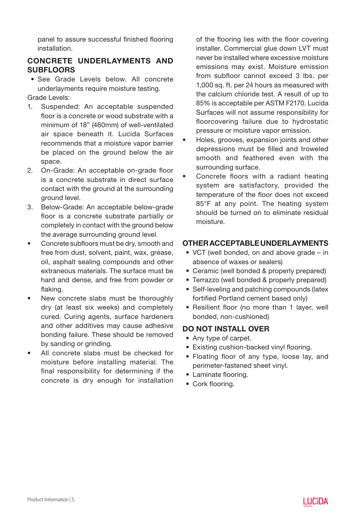panel to assure successful finished flooring installation.

# CONCRETE UNDERLAYMENTS AND **SUBFLOORS**

- See Grade Levels below. All concrete underlayments require moisture testing.
- Grade Levels:
- 1. Suspended: An acceptable suspended floor is a concrete or wood substrate with a minimum of 18" (460mm) of well-ventilated air space beneath it. Lucida Surfaces recommends that a moisture vapor barrier be placed on the ground below the air space.
- 2. On-Grade: An acceptable on-grade floor is a concrete substrate in direct surface contact with the ground at the surrounding ground level.
- 3. Below-Grade: An acceptable below-grade floor is a concrete substrate partially or completely in contact with the ground below the average surrounding ground level.
- Concrete subfloors must be dry, smooth and free from dust, solvent, paint, wax, grease, oil, asphalt sealing compounds and other extraneous materials. The surface must be hard and dense, and free from powder or flaking.
- New concrete slabs must be thoroughly dry (at least six weeks) and completely cured. Curing agents, surface hardeners and other additives may cause adhesive bonding failure. These should be removed by sanding or grinding.
- All concrete slabs must be checked for moisture before installing material. The final responsibility for determining if the concrete is dry enough for installation

of the flooring lies with the floor covering installer. Commercial glue down LVT must never be installed where excessive moisture emissions may exist. Moisture emission from subfloor cannot exceed 3 lbs. per 1,000 sq. ft. per 24 hours as measured with the calcium chloride test. A result of up to 85% is acceptable per ASTM F2170. Lucida Surfaces will not assume responsibility for floorcovering failure due to hydrostatic pressure or moisture vapor emission.

- Holes, grooves, expansion joints and other depressions must be filled and troweled smooth and feathered even with the surrounding surface.
- Concrete floors with a radiant heating system are satisfactory, provided the temperature of the floor does not exceed 85°F at any point. The heating system should be turned on to eliminate residual moisture.

# OTHER ACCEPTABLE UNDERLAYMENTS

- VCT (well bonded, on and above grade in absence of waxes or sealers)
- Ceramic (well bonded & properly prepared)
- Terrazzo (well bonded & properly prepared)
- Self-leveling and patching compounds (latex fortified Portland cement based only)
- Resilient floor (no more than 1 layer, well bonded, non-cushioned)

# DO NOT INSTALL OVER

- Any type of carpet.
- Existing cushion-backed vinyl flooring.
- Floating floor of any type, loose lay, and perimeter-fastened sheet vinyl.
- Laminate flooring.
- Cork flooring.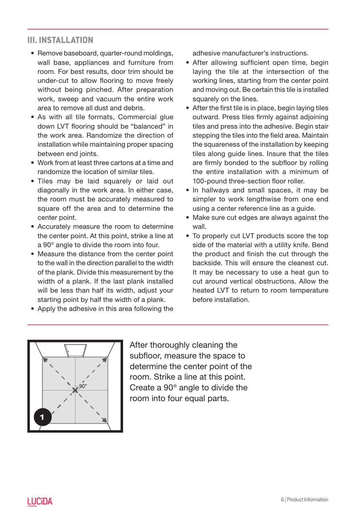# **III. INSTALLATION**

- Remove baseboard, quarter-round moldings, wall base, appliances and furniture from room. For best results, door trim should be under-cut to allow flooring to move freely without being pinched. After preparation work, sweep and vacuum the entire work area to remove all dust and debris.
- As with all tile formats, Commercial glue down LVT flooring should be "balanced" in the work area. Randomize the direction of installation while maintaining proper spacing between end joints.
- Work from at least three cartons at a time and randomize the location of similar tiles.
- Tiles may be laid squarely or laid out diagonally in the work area. In either case, the room must be accurately measured to square off the area and to determine the center point.
- Accurately measure the room to determine the center point. At this point, strike a line at a 90° angle to divide the room into four.
- Measure the distance from the center point to the wall in the direction parallel to the width of the plank. Divide this measurement by the width of a plank. If the last plank installed will be less than half its width, adjust your starting point by half the width of a plank.
- Apply the adhesive in this area following the

adhesive manufacturer's instructions.

- After allowing sufficient open time, begin laying the tile at the intersection of the working lines, starting from the center point and moving out. Be certain this tile is installed squarely on the lines.
- After the first tile is in place, begin laying tiles outward. Press tiles firmly against adjoining tiles and press into the adhesive. Begin stair stepping the tiles into the field area. Maintain the squareness of the installation by keeping tiles along guide lines. Insure that the tiles are firmly bonded to the subfloor by rolling the entire installation with a minimum of 100-pound three-section floor roller.
- In hallways and small spaces, it may be simpler to work lengthwise from one end using a center reference line as a guide.
- Make sure cut edges are always against the wall.
- To properly cut LVT products score the top side of the material with a utility knife. Bend the product and finish the cut through the backside. This will ensure the cleanest cut. It may be necessary to use a heat gun to cut around vertical obstructions. Allow the heated LVT to return to room temperature before installation.



After thoroughly cleaning the subfloor, measure the space to determine the center point of the room. Strike a line at this point. Create a 90° angle to divide the room into four equal parts.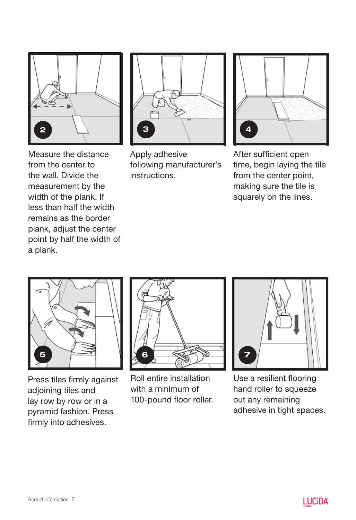

from the center to the wall. Divide the measurement by the width of the plank. If less than half the width remains as the border plank, adjust the center point by half the width of

a plank.



Apply adhesive following manufacturer's instructions.



After sufficient open time, begin laying the tile from the center point, making sure the tile is squarely on the lines.

5

Press tiles firmly against adjoining tiles and lay row by row or in a pyramid fashion. Press firmly into adhesives.



Roll entire installation with a minimum of 100-pound floor roller.



Use a resilient flooring hand roller to squeeze out any remaining adhesive in tight spaces.

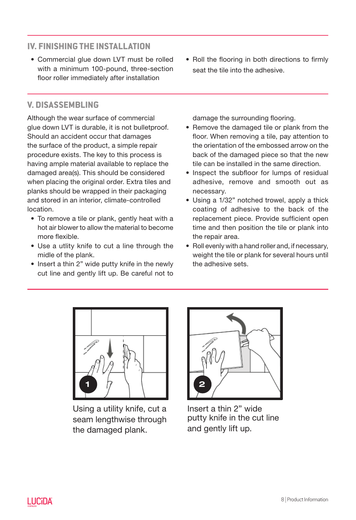# **IV. FINISHING THE INSTALLATION**

• Commercial glue down LVT must be rolled with a minimum 100-pound, three-section floor roller immediately after installation

# **V. DISASSEMBLING**

Although the wear surface of commercial glue down LVT is durable, it is not bulletproof. Should an accident occur that damages the surface of the product, a simple repair procedure exists. The key to this process is having ample material available to replace the damaged area(s). This should be considered when placing the original order. Extra tiles and planks should be wrapped in their packaging and stored in an interior, climate-controlled location.

- To remove a tile or plank, gently heat with a hot air blower to allow the material to become more flexible.
- Use a utlity knife to cut a line through the midle of the plank.
- Insert a thin 2" wide putty knife in the newly cut line and gently lift up. Be careful not to

• Roll the flooring in both directions to firmly seat the tile into the adhesive.

damage the surrounding flooring.

- Remove the damaged tile or plank from the floor. When removing a tile, pay attention to the orientation of the embossed arrow on the back of the damaged piece so that the new tile can be installed in the same direction.
- Inspect the subfloor for lumps of residual adhesive, remove and smooth out as necessary.
- Using a 1/32" notched trowel, apply a thick coating of adhesive to the back of the replacement piece. Provide sufficient open time and then position the tile or plank into the repair area.
- Roll evenly with a hand roller and, if necessary, weight the tile or plank for several hours until the adhesive sets.



Using a utility knife, cut a seam lengthwise through the damaged plank.



Insert a thin 2" wide putty knife in the cut line and gently lift up.

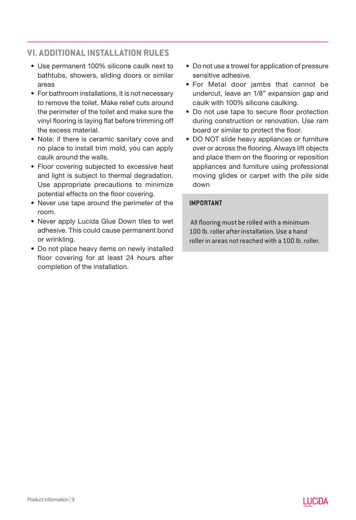# **VI. ADDITIONAL INSTALLATION RULES**

- Use permanent 100% silicone caulk next to bathtubs, showers, sliding doors or similar areas
- For bathroom installations, it is not necessary to remove the toilet. Make relief cuts around the perimeter of the toilet and make sure the vinyl flooring is laying flat before trimming off the excess material.
- Note: if there is ceramic sanitary cove and no place to install trim mold, you can apply caulk around the walls.
- Floor covering subjected to excessive heat and light is subject to thermal degradation. Use appropriate precautions to minimize potential effects on the floor covering.
- Never use tape around the perimeter of the room.
- Never apply Lucida Glue Down tiles to wet adhesive. This could cause permanent bond or wrinkling.
- Do not place heavy items on newly installed floor covering for at least 24 hours after completion of the installation.
- Do not use a trowel for application of pressure sensitive adhesive.
- For Metal door jambs that cannot be undercut, leave an 1/8" expansion gap and caulk with 100% silicone caulking.
- Do not use tape to secure floor protection during construction or renovation. Use ram board or similar to protect the floor.
- DO NOT slide heavy appliances or furniture over or across the flooring. Always lift objects and place them on the flooring or reposition appliances and furniture using professional moving glides or carpet with the pile side down

# **IMPORTANT**

All flooring must be rolled with a minimum 100 lb. roller after installation. Use a hand roller in areas not reached with a 100 lb. roller.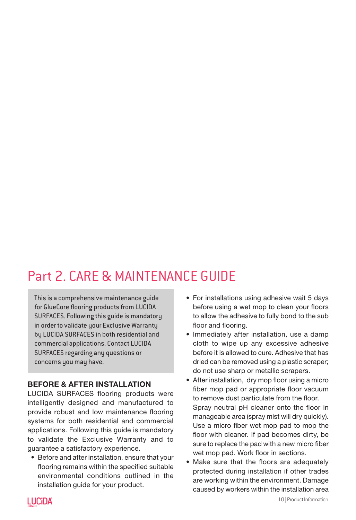# Part 2. CARE & MAINTENANCE GUIDE

This is a comprehensive maintenance guide for GlueCore flooring products from LUCIDA SURFACES. Following this guide is mandatory in order to validate your Exclusive Warranty by LUCIDA SURFACES in both residential and commercial applications. Contact LUCIDA SURFACES regarding any questions or concerns you may have.

# BEFORE & AFTER INSTALLATION

LUCIDA SURFACES flooring products were intelligently designed and manufactured to provide robust and low maintenance flooring systems for both residential and commercial applications. Following this guide is mandatory to validate the Exclusive Warranty and to guarantee a satisfactory experience.

• Before and after installation, ensure that your flooring remains within the specified suitable environmental conditions outlined in the installation guide for your product.

- For installations using adhesive wait 5 days before using a wet mop to clean your floors to allow the adhesive to fully bond to the sub floor and flooring.
- Immediately after installation, use a damp cloth to wipe up any excessive adhesive before it is allowed to cure. Adhesive that has dried can be removed using a plastic scraper; do not use sharp or metallic scrapers.
- After installation, dry mop floor using a micro fiber mop pad or appropriate floor vacuum to remove dust particulate from the floor. Spray neutral pH cleaner onto the floor in manageable area (spray mist will dry quickly). Use a micro fiber wet mop pad to mop the floor with cleaner. If pad becomes dirty, be sure to replace the pad with a new micro fiber wet mop pad. Work floor in sections.
- Make sure that the floors are adequately protected during installation if other trades are working within the environment. Damage caused by workers within the installation area

**LUCIDA**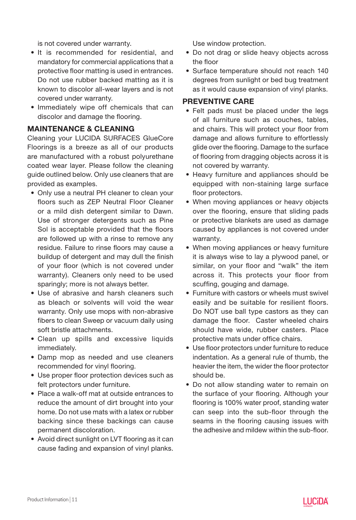is not covered under warranty.

- It is recommended for residential, and mandatory for commercial applications that a protective floor matting is used in entrances. Do not use rubber backed matting as it is known to discolor all-wear layers and is not covered under warranty.
- Immediately wipe off chemicals that can discolor and damage the flooring.

# MAINTENANCE & CLEANING

Cleaning your LUCIDA SURFACES GlueCore Floorings is a breeze as all of our products are manufactured with a robust polyurethane coated wear layer. Please follow the cleaning guide outlined below. Only use cleaners that are provided as examples.

- Only use a neutral PH cleaner to clean your floors such as ZEP Neutral Floor Cleaner or a mild dish detergent similar to Dawn. Use of stronger detergents such as Pine Sol is acceptable provided that the floors are followed up with a rinse to remove any residue. Failure to rinse floors may cause a buildup of detergent and may dull the finish of your floor (which is not covered under warranty). Cleaners only need to be used sparingly; more is not always better.
- Use of abrasive and harsh cleaners such as bleach or solvents will void the wear warranty. Only use mops with non-abrasive fibers to clean Sweep or vacuum daily using soft bristle attachments.
- Clean up spills and excessive liquids immediately.
- Damp mop as needed and use cleaners recommended for vinyl flooring.
- Use proper floor protection devices such as felt protectors under furniture.
- Place a walk-off mat at outside entrances to reduce the amount of dirt brought into your home. Do not use mats with a latex or rubber backing since these backings can cause permanent discoloration.
- Avoid direct sunlight on LVT flooring as it can cause fading and expansion of vinyl planks.

Use window protection.

- Do not drag or slide heavy objects across the floor
- Surface temperature should not reach 140 degrees from sunlight or bed bug treatment as it would cause expansion of vinyl planks.

# PREVENTIVE CARE

- Felt pads must be placed under the legs of all furniture such as couches, tables, and chairs. This will protect your floor from damage and allows furniture to effortlessly glide over the flooring. Damage to the surface of flooring from dragging objects across it is not covered by warranty.
- Heavy furniture and appliances should be equipped with non-staining large surface floor protectors.
- When moving appliances or heavy objects over the flooring, ensure that sliding pads or protective blankets are used as damage caused by appliances is not covered under warranty.
- When moving appliances or heavy furniture it is always wise to lay a plywood panel, or similar, on your floor and "walk" the item across it. This protects your floor from scuffing, gouging and damage.
- Furniture with castors or wheels must swivel easily and be suitable for resilient floors. Do NOT use ball type castors as they can damage the floor. Caster wheeled chairs should have wide, rubber casters. Place protective mats under office chairs.
- Use floor protectors under furniture to reduce indentation. As a general rule of thumb, the heavier the item, the wider the floor protector should be.
- Do not allow standing water to remain on the surface of your flooring. Although your flooring is 100% water proof, standing water can seep into the sub-floor through the seams in the flooring causing issues with the adhesive and mildew within the sub-floor.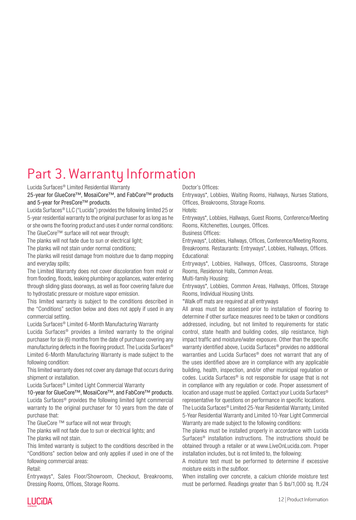# Part 3. Warranty Information

Lucida Surfaces® Limited Residential Warranty

25-year for GlueCore™, MosaiCore™, and FabCore™ products and 5-year for PresCore™ products.

Lucida Surfaces® LLC ("Lucida") provides the following limited 25 or 5-year residential warranty to the original purchaser for as long as he or she owns the flooring product and uses it under normal conditions: The GlueCore™ surface will not wear through;

The planks will not fade due to sun or electrical light;

The planks will not stain under normal conditions;

The planks will resist damage from moisture due to damp mopping and everyday spills;

The Limited Warranty does not cover discoloration from mold or from flooding, floods, leaking plumbing or appliances, water entering through sliding glass doorways, as well as floor covering failure due to hydrostatic pressure or moisture vapor emission.

This limited warranty is subject to the conditions described in the "Conditions" section below and does not apply if used in any commercial setting.

Lucida Surfaces® Limited 6-Month Manufacturing Warranty

Lucida Surfaces® provides a limited warranty to the original purchaser for six (6) months from the date of purchase covering any manufacturing defects in the flooring product. The Lucida Surfaces® Limited 6-Month Manufacturing Warranty is made subject to the following condition:

This limited warranty does not cover any damage that occurs during shipment or installation.

Lucida Surfaces® Limited Light Commercial Warranty

10-year for GlueCore™, MosaiCore™, and FabCore™ products. Lucida Surfaces® provides the following limited light commercial warranty to the original purchaser for 10 years from the date of purchase that:

The GlueCore ™ surface will not wear through;

The planks will not fade due to sun or electrical lights; and The planks will not stain.

This limited warranty is subject to the conditions described in the "Conditions" section below and only applies if used in one of the following commercial areas:

Retail:

Entryways\*, Sales Floor/Showroom, Checkout, Breakrooms, Dressing Rooms, Offices, Storage Rooms.

Doctor's Offices:

Entryways\*, Lobbies, Waiting Rooms, Hallways, Nurses Stations, Offices, Breakrooms, Storage Rooms.

Hotels:

Entryways\*, Lobbies, Hallways, Guest Rooms, Conference/Meeting Rooms, Kitchenettes, Lounges, Offices.

Business Offices:

Entryways\*, Lobbies, Hallways, Offices, Conference/Meeting Rooms, Breakrooms. Restaurants: Entryways\*, Lobbies, Hallways, Offices. Educational:

Entryways\*, Lobbies, Hallways, Offices, Classrooms, Storage Rooms, Residence Halls, Common Areas.

Multi-family Housing:

Entryways\*, Lobbies, Common Areas, Hallways, Offices, Storage Rooms, Individual Housing Units.

\*Walk off mats are required at all entryways

All areas must be assessed prior to installation of flooring to determine if other surface measures need to be taken or conditions addressed, including, but not limited to requirements for static control, state health and building codes, slip resistance, high impact traffic and moisture/water exposure. Other than the specific warranty identified above, Lucida Surfaces® provides no additional warranties and Lucida Surfaces® does not warrant that any of the uses identified above are in compliance with any applicable building, health, inspection, and/or other municipal regulation or codes. Lucida Surfaces® is not responsible for usage that is not in compliance with any regulation or code. Proper assessment of location and usage must be applied. Contact your Lucida Surfaces® representative for questions on performance in specific locations.

The Lucida Surfaces® Limited 25-Year Residential Warranty, Limited 5-Year Residential Warranty and Limited 10-Year Light Commercial Warranty are made subject to the following conditions:

The planks must be installed properly in accordance with Lucida Surfaces® installation instructions. The instructions should be obtained through a retailer or at www.LiveOnLucida.com. Proper installation includes, but is not limited to, the following:

A moisture test must be performed to determine if excessive moisture exists in the subfloor.

When installing over concrete, a calcium chloride moisture test must be performed. Readings greater than 5 lbs/1,000 sq. ft./24



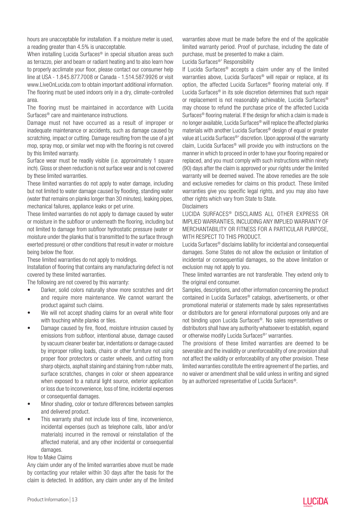hours are unacceptable for installation. If a moisture meter is used, a reading greater than 4.5% is unacceptable.

When installing Lucida Surfaces<sup>®</sup> in special situation areas such as terrazzo, pier and beam or radiant heating and to also learn how to properly acclimate your floor, please contact our consumer help line at USA - 1.845.877.7008 or Canada - 1.514.587.9926 or visit www.LiveOnLucida.com to obtain important additional information. The flooring must be used indoors only in a dry, climate-controlled area.

The flooring must be maintained in accordance with Lucida Surfaces® care and maintenance instructions.

Damage must not have occurred as a result of improper or inadequate maintenance or accidents, such as damage caused by scratching, impact or cutting. Damage resulting from the use of a jet mop, spray mop, or similar wet mop with the flooring is not covered by this limited warranty.

Surface wear must be readily visible (i.e. approximately 1 square inch). Gloss or sheen reduction is not surface wear and is not covered by these limited warranties.

These limited warranties do not apply to water damage, including but not limited to water damage caused by flooding, standing water (water that remains on planks longer than 30 minutes), leaking pipes, mechanical failures, appliance leaks or pet urine.

These limited warranties do not apply to damage caused by water or moisture in the subfloor or underneath the flooring, including but not limited to damage from subfloor hydrostatic pressure (water or moisture under the planks that is transmitted to the surface through exerted pressure) or other conditions that result in water or moisture being below the floor.

These limited warranties do not apply to moldings.

Installation of flooring that contains any manufacturing defect is not covered by these limited warranties.

The following are not covered by this warranty:

- Darker, solid colors naturally show more scratches and dirt and require more maintenance. We cannot warrant the product against such claims.
- We will not accept shading claims for an overall white floor with touching white planks or tiles.
- Damage caused by fire, flood, moisture intrusion caused by emissions from subfloor, intentional abuse, damage caused by vacuum cleaner beater bar, indentations or damage caused by improper rolling loads, chairs or other furniture not using proper floor protectors or caster wheels, and cutting from sharp objects, asphalt staining and staining from rubber mats, surface scratches, changes in color or sheen appearance when exposed to a natural light source, exterior application or loss due to inconvenience, loss of time, incidental expenses or consequential damages.
- Minor shading, color or texture differences between samples and delivered product.
- This warranty shall not include loss of time, inconvenience, incidental expenses (such as telephone calls, labor and/or materials) incurred in the removal or reinstallation of the affected material, and any other incidental or consequential damages.

#### How to Make Claims

Any claim under any of the limited warranties above must be made by contacting your retailer within 30 days after the basis for the claim is detected. In addition, any claim under any of the limited

warranties above must be made before the end of the applicable limited warranty period. Proof of purchase, including the date of purchase, must be presented to make a claim.

Lucida Surfaces®' Responsibility

If Lucida Surfaces® accepts a claim under any of the limited warranties above, Lucida Surfaces® will repair or replace, at its option, the affected Lucida Surfaces® flooring material only. If Lucida Surfaces® in its sole discretion determines that such repair or replacement is not reasonably achievable, Lucida Surfaces® may choose to refund the purchase price of the affected Lucida Surfaces® flooring material. If the design for which a claim is made is no longer available, Lucida Surfaces® will replace the affected planks materials with another Lucida Surfaces® design of equal or greater value at Lucida Surfaces®' discretion. Upon approval of the warranty claim, Lucida Surfaces® will provide you with instructions on the manner in which to proceed in order to have your flooring repaired or replaced, and you must comply with such instructions within ninety (90) days after the claim is approved or your rights under the limited warranty will be deemed waived. The above remedies are the sole and exclusive remedies for claims on this product. These limited warranties give you specific legal rights, and you may also have other rights which vary from State to State.

#### Disclaimers

LUCIDA SURFACES® DISCLAIMS ALL OTHER EXPRESS OR IMPLIED WARRANTIES, INCLUDING ANY IMPLIED WARRANTY OF MERCHANTABILITY OR FITNESS FOR A PARTICULAR PURPOSE, WITH RESPECT TO THIS PRODUCT.

Lucida Surfaces® disclaims liability for incidental and consequential damages. Some States do not allow the exclusion or limitation of incidental or consequential damages, so the above limitation or exclusion may not apply to you.

These limited warranties are not transferable. They extend only to the original end consumer.

Samples, descriptions, and other information concerning the product contained in Lucida Surfaces® catalogs, advertisements, or other promotional material or statements made by sales representatives or distributors are for general informational purposes only and are not binding upon Lucida Surfaces®. No sales representatives or distributors shall have any authority whatsoever to establish, expand or otherwise modify Lucida Surfaces®' warranties.

The provisions of these limited warranties are deemed to be severable and the invalidity or unenforceability of one provision shall not affect the validity or enforceability of any other provision. These limited warranties constitute the entire agreement of the parties, and no waiver or amendment shall be valid unless in writing and signed by an authorized representative of Lucida Surfaces®.